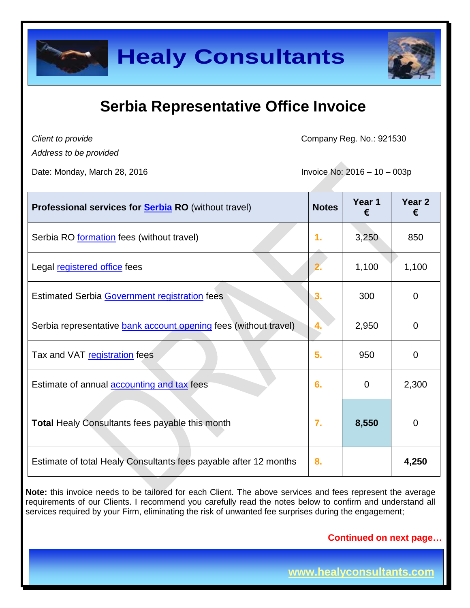

*Client to provide*

Company Reg. No.: 921530

*Address to be provided*

Date: Monday, March 28, 2016 **Invoice No: 2016** - 10 – 003p

| <b>Professional services for Serbia RO</b> (without travel)      | <b>Notes</b>  | Year 1<br>€ | Year <sub>2</sub><br>€ |
|------------------------------------------------------------------|---------------|-------------|------------------------|
| Serbia RO formation fees (without travel)                        | $\mathbf 1$ . | 3,250       | 850                    |
| Legal registered office fees                                     |               | 1,100       | 1,100                  |
| <b>Estimated Serbia Government registration fees</b>             | 3.            | 300         | 0                      |
| Serbia representative bank account opening fees (without travel) | 4.            | 2,950       | 0                      |
| Tax and VAT registration fees                                    | 5.            | 950         | 0                      |
| Estimate of annual <b>accounting and tax</b> fees                | 6.            | $\Omega$    | 2,300                  |
| <b>Total Healy Consultants fees payable this month</b>           | 7.            | 8,550       | 0                      |
| Estimate of total Healy Consultants fees payable after 12 months | 8.            |             | 4,250                  |

**Note:** this invoice needs to be tailored for each Client. The above services and fees represent the average requirements of our Clients. I recommend you carefully read the notes below to confirm and understand all services required by your Firm, eliminating the risk of unwanted fee surprises during the engagement;

**Continued on next page…**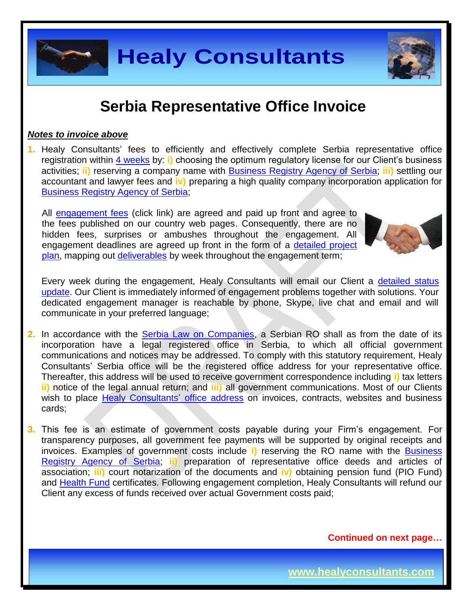

#### *Notes to invoice above*

**1.** Healy Consultants' fees to efficiently and effectively complete Serbia representative office registration within [4 weeks](http://www.healyconsultants.com/serbia-company-registration/fees-timelines/#timelines) by: **i)** choosing the optimum regulatory license for our Client's business activities; **ii)** reserving a company name with [Business Registry Agency of Serbia;](http://www.apr.gov.rs/eng/Home.aspx) **iii)** settling our accountant and lawyer fees and **iv)** preparing a high quality company incorporation application for [Business Registry Agency of Serbia;](http://www.apr.gov.rs/eng/Home.aspx)

All [engagement fees](http://www.healyconsultants.com/company-registration-fees/) (click link) are agreed and paid up front and agree to the fees published on our country web pages. Consequently, there are no hidden fees, surprises or ambushes throughout the engagement. All engagement deadlines are agreed up front in the form of a [detailed project](http://www.healyconsultants.com/index-important-links/example-project-plan/)  [plan,](http://www.healyconsultants.com/index-important-links/example-project-plan/) mapping out [deliverables](http://www.healyconsultants.com/deliverables-to-our-clients/) by week throughout the engagement term;



Every week during the engagement, Healy Consultants will email our Client a detailed status [update.](http://www.healyconsultants.com/index-important-links/weekly-engagement-status-email/) Our Client is immediately informed of engagement problems together with solutions. Your dedicated engagement manager is reachable by phone, Skype, live chat and email and will communicate in your preferred language;

- **2.** In accordance with the [Serbia Law on Companies,](https://www.google.com.sg/url?sa=t&rct=j&q=&esrc=s&source=web&cd=2&cad=rja&uact=8&ved=0CCIQFjAB&url=http%3A%2F%2Fwww.apr.gov.rs%2FLinkClick.aspx%3Ffileticket%3D5LXmtJlDqS0%253D%26tabid%3D181%26portalid%3D3%26mid%3D733&ei=hq0PVezdJdaIuAS9toCgAg&usg=AFQjCNFBYpDnYjwnggT2fILqOv2JFa-KzQ&sig2=Cd2Q_E4pfdC3ykYAfEtNgw) a Serbian RO shall as from the date of its incorporation have a legal registered office in Serbia, to which all official government communications and notices may be addressed. To comply with this statutory requirement, Healy Consultants' Serbia office will be the registered office address for your representative office. Thereafter, this address will be used to receive government correspondence including **i)** tax letters **ii)** notice of the legal annual return; and **iii)** all government communications. Most of our Clients wish to place [Healy Consultants'](http://www.healyconsultants.com/corporate-outsourcing-services/company-secretary-and-legal-registered-office/) office address on invoices, contracts, websites and business cards;
- **3.** This fee is an estimate of government costs payable during your Firm's engagement. For transparency purposes, all government fee payments will be supported by original receipts and invoices. Examples of government costs include **i)** reserving the RO name with the [Business](http://www.apr.gov.rs/eng/Home.aspx)  [Registry Agency of Serbia;](http://www.apr.gov.rs/eng/Home.aspx) **ii)** preparation of representative office deeds and articles of association; **iii)** court notarization of the documents and **iv)** obtaining pension fund (PIO Fund) and [Health Fund](http://www.eng.rfzo.rs/) certificates. Following engagement completion, Healy Consultants will refund our Client any excess of funds received over actual Government costs paid;

**Continued on next page…**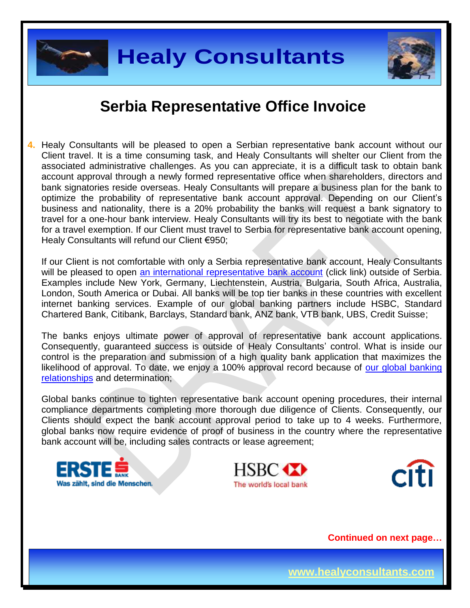



**4.** Healy Consultants will be pleased to open a Serbian representative bank account without our Client travel. It is a time consuming task, and Healy Consultants will shelter our Client from the associated administrative challenges. As you can appreciate, it is a difficult task to obtain bank account approval through a newly formed representative office when shareholders, directors and bank signatories reside overseas. Healy Consultants will prepare a business plan for the bank to optimize the probability of representative bank account approval. Depending on our Client's business and nationality, there is a 20% probability the banks will request a bank signatory to travel for a one-hour bank interview. Healy Consultants will try its best to negotiate with the bank for a travel exemption. If our Client must travel to Serbia for representative bank account opening, Healy Consultants will refund our Client €950;

If our Client is not comfortable with only a Serbia representative bank account, Healy Consultants will be pleased to open [an international representative](http://www.healyconsultants.com/international-banking/) bank account (click link) outside of Serbia. Examples include New York, Germany, Liechtenstein, Austria, Bulgaria, South Africa, Australia, London, South America or Dubai. All banks will be top tier banks in these countries with excellent internet banking services. Example of our global banking partners include HSBC, Standard Chartered Bank, Citibank, Barclays, Standard bank, ANZ bank, VTB bank, UBS, Credit Suisse;

The banks enjoys ultimate power of approval of representative bank account applications. Consequently, guaranteed success is outside of Healy Consultants' control. What is inside our control is the preparation and submission of a high quality bank application that maximizes the likelihood of approval. To date, we enjoy a 100% approval record because of our global banking [relationships](http://www.healyconsultants.com/international-banking/corporate-accounts/) and determination;

Global banks continue to tighten representative bank account opening procedures, their internal compliance departments completing more thorough due diligence of Clients. Consequently, our Clients should expect the bank account approval period to take up to 4 weeks. Furthermore, global banks now require evidence of proof of business in the country where the representative bank account will be, including sales contracts or lease agreement;







**Continued on next page…**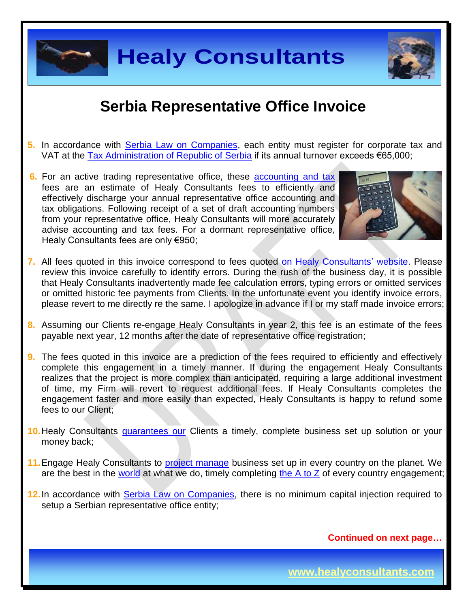

## **Healy Consultants**

#### **Serbia Representative Office Invoice**

- **5.** In accordance with [Serbia Law on Companies,](https://www.google.com.sg/url?sa=t&rct=j&q=&esrc=s&source=web&cd=2&cad=rja&uact=8&ved=0CCIQFjAB&url=http%3A%2F%2Fwww.apr.gov.rs%2FLinkClick.aspx%3Ffileticket%3D5LXmtJlDqS0%253D%26tabid%3D181%26portalid%3D3%26mid%3D733&ei=hq0PVezdJdaIuAS9toCgAg&usg=AFQjCNFBYpDnYjwnggT2fILqOv2JFa-KzQ&sig2=Cd2Q_E4pfdC3ykYAfEtNgw) each entity must register for corporate tax and VAT at the [Tax Administration of Republic of Serbia](http://www.poreskaupravars.org/SiteEn/) if its annual turnover exceeds €65,000;
- **6.** For an active trading representative office, these [accounting and tax](http://www.healyconsultants.com/serbia-company-registration/accounting-legal/) fees are an estimate of Healy Consultants fees to efficiently and effectively discharge your annual representative office accounting and tax obligations. Following receipt of a set of draft accounting numbers from your representative office, Healy Consultants will more accurately advise accounting and tax fees. For a dormant representative office, Healy Consultants fees are only €950;



- **7.** All fees quoted in this invoice correspond to fees quoted [on Healy Consultants' website.](http://www.healyconsultants.com/company-registration-fees/) Please review this invoice carefully to identify errors. During the rush of the business day, it is possible that Healy Consultants inadvertently made fee calculation errors, typing errors or omitted services or omitted historic fee payments from Clients. In the unfortunate event you identify invoice errors, please revert to me directly re the same. I apologize in advance if I or my staff made invoice errors;
- **8.** Assuming our Clients re-engage Healy Consultants in year 2, this fee is an estimate of the fees payable next year, 12 months after the date of representative office registration;
- **9.** The fees quoted in this invoice are a prediction of the fees required to efficiently and effectively complete this engagement in a timely manner. If during the engagement Healy Consultants realizes that the project is more complex than anticipated, requiring a large additional investment of time, my Firm will revert to request additional fees. If Healy Consultants completes the engagement faster and more easily than expected, Healy Consultants is happy to refund some fees to our Client;
- 10. Healy Consultants *[guarantees our](http://www.healyconsultants.com/why-us/)* Clients a timely, complete business set up solution or your money back;
- **11.**Engage Healy Consultants to [project manage](http://www.healyconsultants.com/project-manage-engagements/) business set up in every country on the planet. We are the best in the [world](http://www.healyconsultants.com/best-in-the-world/) at what we do, timely completing the  $A$  to  $Z$  of every country engagement;
- **12.**In accordance with [Serbia Law on Companies,](https://www.google.com.sg/url?sa=t&rct=j&q=&esrc=s&source=web&cd=2&cad=rja&uact=8&ved=0CCIQFjAB&url=http%3A%2F%2Fwww.apr.gov.rs%2FLinkClick.aspx%3Ffileticket%3D5LXmtJlDqS0%253D%26tabid%3D181%26portalid%3D3%26mid%3D733&ei=hq0PVezdJdaIuAS9toCgAg&usg=AFQjCNFBYpDnYjwnggT2fILqOv2JFa-KzQ&sig2=Cd2Q_E4pfdC3ykYAfEtNgw) there is no minimum capital injection required to setup a Serbian representative office entity;

**Continued on next page…**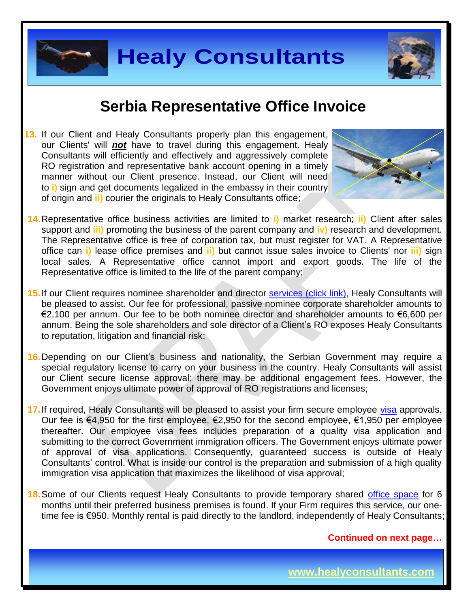



**13.** If our Client and Healy Consultants properly plan this engagement, our Clients' will *not* have to travel during this engagement. Healy Consultants will efficiently and effectively and aggressively complete RO registration and representative bank account opening in a timely manner without our Client presence. Instead, our Client will need to **i)** sign and get documents legalized in the embassy in their country of origin and **ii)** courier the originals to Healy Consultants office;



- **14.**Representative office business activities are limited to **i)** market research; **ii)** Client after sales support and **iii)** promoting the business of the parent company and **iv)** research and development. The Representative office is free of corporation tax, but must register for VAT. A Representative office can **i)** lease office premises and **ii)** but cannot issue sales invoice to Clients' nor **iii)** sign local sales. A Representative office cannot import and export goods. The life of the Representative office is limited to the life of the parent company;
- 15. If our Client requires nominee shareholder and director services [\(click link\),](http://www.healyconsultants.com/corporate-outsourcing-services/nominee-shareholders-directors/) Healy Consultants will be pleased to assist. Our fee for professional, passive nominee corporate shareholder amounts to €2,100 per annum. Our fee to be both nominee director and shareholder amounts to €6,600 per annum. Being the sole shareholders and sole director of a Client's RO exposes Healy Consultants to reputation, litigation and financial risk;
- **16.**Depending on our Client's business and nationality, the Serbian Government may require a special regulatory license to carry on your business in the country. Healy Consultants will assist our Client secure license approval; there may be additional engagement fees. However, the Government enjoys ultimate power of approval of RO registrations and licenses;
- **17.**If required, Healy Consultants will be pleased to assist your firm secure employee [visa](http://www.healyconsultants.com/support-services/) approvals. Our fee is €4,950 for the first employee, €2,950 for the second employee, €1,950 per employee thereafter. Our employee visa fees includes preparation of a quality visa application and submitting to the correct Government immigration officers. The Government enjoys ultimate power of approval of visa applications. Consequently, guaranteed success is outside of Healy Consultants' control. What is inside our control is the preparation and submission of a high quality immigration visa application that maximizes the likelihood of visa approval;
- **18.**Some of our Clients request Healy Consultants to provide temporary shared [office space](http://www.healyconsultants.com/virtual-office/) for 6 months until their preferred business premises is found. If your Firm requires this service, our onetime fee is €950. Monthly rental is paid directly to the landlord, independently of Healy Consultants;

**Continued on next page…**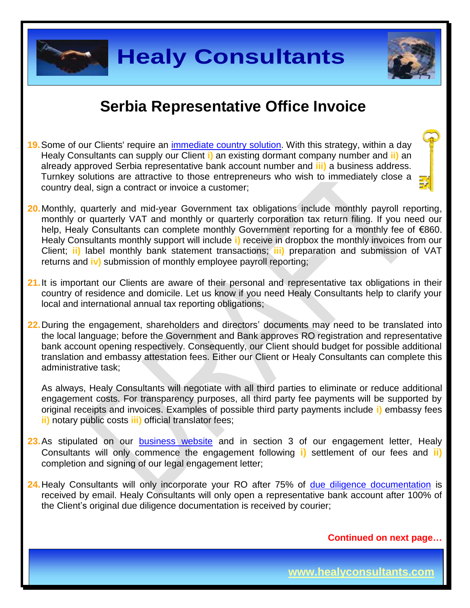

- **19.**Some of our Clients' require an [immediate country](http://www.healyconsultants.com/turnkey-solutions/) solution. With this strategy, within a day Healy Consultants can supply our Client **i)** an existing dormant company number and **ii)** an already approved Serbia representative bank account number and **iii)** a business address. Turnkey solutions are attractive to those entrepreneurs who wish to immediately close a country deal, sign a contract or invoice a customer;
- **20.**Monthly, quarterly and mid-year Government tax obligations include monthly payroll reporting, monthly or quarterly VAT and monthly or quarterly corporation tax return filing. If you need our help, Healy Consultants can complete monthly Government reporting for a monthly fee of €860. Healy Consultants monthly support will include **i)** receive in dropbox the monthly invoices from our Client; **ii)** label monthly bank statement transactions; **iii)** preparation and submission of VAT returns and **iv)** submission of monthly employee payroll reporting;
- 21. It is important our Clients are aware of their personal and representative tax obligations in their country of residence and domicile. Let us know if you need Healy Consultants help to clarify your local and international annual tax reporting obligations;
- **22.**During the engagement, shareholders and directors' documents may need to be translated into the local language; before the Government and Bank approves RO registration and representative bank account opening respectively. Consequently, our Client should budget for possible additional translation and embassy attestation fees. Either our Client or Healy Consultants can complete this administrative task;

As always, Healy Consultants will negotiate with all third parties to eliminate or reduce additional engagement costs. For transparency purposes, all third party fee payments will be supported by original receipts and invoices. Examples of possible third party payments include **i)** embassy fees **ii)** notary public costs **iii)** official translator fees;

- 23. As stipulated on our **business** website and in section 3 of our engagement letter, Healy Consultants will only commence the engagement following **i)** settlement of our fees and **ii)** completion and signing of our legal engagement letter;
- 24. Healy Consultants will only incorporate your RO after 75% of [due diligence documentation](http://www.healyconsultants.com/due-diligence/) is received by email. Healy Consultants will only open a representative bank account after 100% of the Client's original due diligence documentation is received by courier;

**Continued on next page…**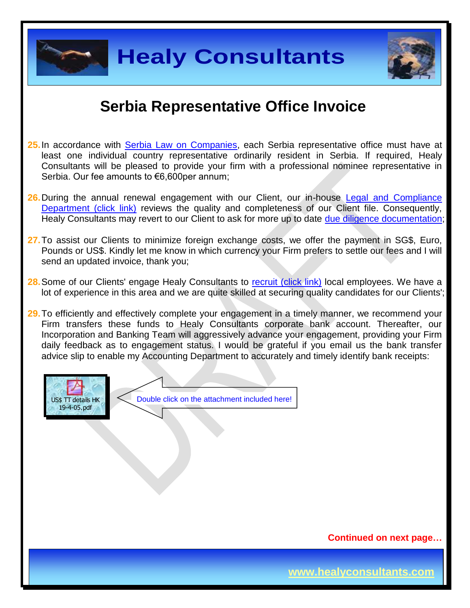

**Healy Consultants**



#### **Serbia Representative Office Invoice**

- **25.**In accordance with [Serbia Law on Companies,](https://www.google.com.sg/url?sa=t&rct=j&q=&esrc=s&source=web&cd=2&cad=rja&uact=8&ved=0CCIQFjAB&url=http%3A%2F%2Fwww.apr.gov.rs%2FLinkClick.aspx%3Ffileticket%3D5LXmtJlDqS0%253D%26tabid%3D181%26portalid%3D3%26mid%3D733&ei=hq0PVezdJdaIuAS9toCgAg&usg=AFQjCNFBYpDnYjwnggT2fILqOv2JFa-KzQ&sig2=Cd2Q_E4pfdC3ykYAfEtNgw) each Serbia representative office must have at least one individual country representative ordinarily resident in Serbia. If required, Healy Consultants will be pleased to provide your firm with a professional nominee representative in Serbia. Our fee amounts to €6,600per annum;
- **26.**During the annual renewal engagement with our Client, our in-house [Legal and Compliance](http://www.healyconsultants.com/about-us/key-personnel/cai-xin-profile/)  [Department \(click link\)](http://www.healyconsultants.com/about-us/key-personnel/cai-xin-profile/) reviews the quality and completeness of our Client file. Consequently, Healy Consultants may revert to our Client to ask for more up to date [due diligence documentation;](http://www.healyconsultants.com/due-diligence/)
- **27.**To assist our Clients to minimize foreign exchange costs, we offer the payment in SG\$, Euro, Pounds or US\$. Kindly let me know in which currency your Firm prefers to settle our fees and I will send an updated invoice, thank you;
- **28.** Some of our Clients' engage Healy Consultants to [recruit \(click link\)](http://www.healyconsultants.com/corporate-outsourcing-services/how-we-help-our-clients-recruit-quality-employees/) local employees. We have a lot of experience in this area and we are quite skilled at securing quality candidates for our Clients';

**29.**To efficiently and effectively complete your engagement in a timely manner, we recommend your Firm transfers these funds to Healy Consultants corporate bank account. Thereafter, our Incorporation and Banking Team will aggressively advance your engagement, providing your Firm daily feedback as to engagement status. I would be grateful if you email us the bank transfer advice slip to enable my Accounting Department to accurately and timely identify bank receipts:



Double click on the attachment included here!

**Continued on next page…**